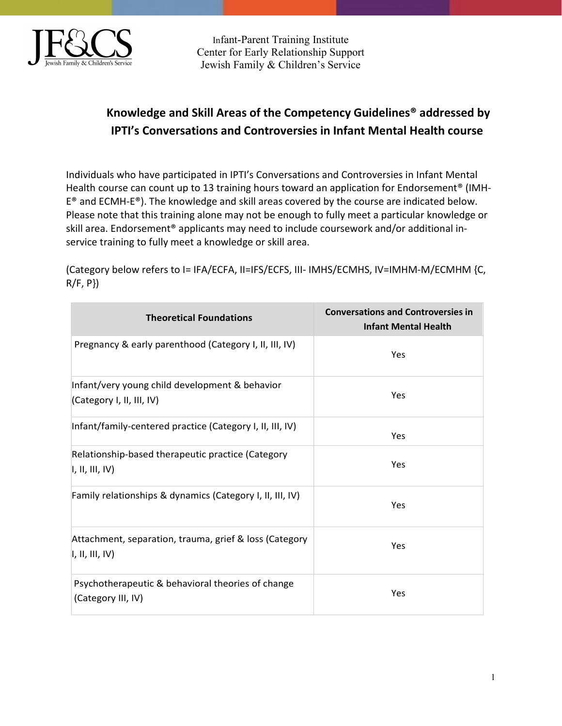

Infant-Parent Training Institute Center for Early Relationship Support Jewish Family & Children's Service

## Knowledge and Skill Areas of the Competency Guidelines® addressed by IPTI's Conversations and Controversies in Infant Mental Health course

Individuals who have participated in IPTI's Conversations and Controversies in Infant Mental Health course can count up to 13 training hours toward an application for Endorsement<sup>®</sup> (IMH-E® and ECMH-E®). The knowledge and skill areas covered by the course are indicated below. Please note that this training alone may not be enough to fully meet a particular knowledge or skill area. Endorsement<sup>®</sup> applicants may need to include coursework and/or additional inservice training to fully meet a knowledge or skill area.

(Category below refers to I= IFA/ECFA, II=IFS/ECFS, III- IMHS/ECMHS, IV=IMHM-M/ECMHM {C,  $R/F, P$ }

| <b>Theoretical Foundations</b>                                              | <b>Conversations and Controversies in</b><br><b>Infant Mental Health</b> |
|-----------------------------------------------------------------------------|--------------------------------------------------------------------------|
| Pregnancy & early parenthood (Category I, II, III, IV)                      | Yes                                                                      |
| Infant/very young child development & behavior<br>(Category I, II, III, IV) | Yes                                                                      |
| Infant/family-centered practice (Category I, II, III, IV)                   | Yes                                                                      |
| Relationship-based therapeutic practice (Category<br>I, II, III, IV         | Yes                                                                      |
| Family relationships & dynamics (Category I, II, III, IV)                   | Yes                                                                      |
| Attachment, separation, trauma, grief & loss (Category<br>I, II, III, IV    | Yes                                                                      |
| Psychotherapeutic & behavioral theories of change<br>(Category III, IV)     | Yes                                                                      |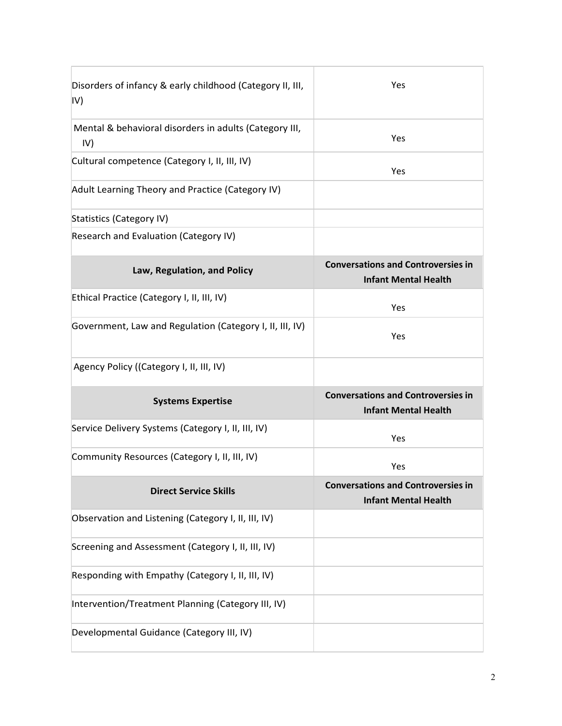| Disorders of infancy & early childhood (Category II, III,<br>IV) | Yes                                                                      |
|------------------------------------------------------------------|--------------------------------------------------------------------------|
| Mental & behavioral disorders in adults (Category III,<br>IV)    | <b>Yes</b>                                                               |
| Cultural competence (Category I, II, III, IV)                    | <b>Yes</b>                                                               |
| Adult Learning Theory and Practice (Category IV)                 |                                                                          |
| Statistics (Category IV)                                         |                                                                          |
| Research and Evaluation (Category IV)                            |                                                                          |
| Law, Regulation, and Policy                                      | <b>Conversations and Controversies in</b><br><b>Infant Mental Health</b> |
| Ethical Practice (Category I, II, III, IV)                       | Yes                                                                      |
| Government, Law and Regulation (Category I, II, III, IV)         | Yes                                                                      |
| Agency Policy ((Category I, II, III, IV)                         |                                                                          |
| <b>Systems Expertise</b>                                         | <b>Conversations and Controversies in</b><br><b>Infant Mental Health</b> |
| Service Delivery Systems (Category I, II, III, IV)               | Yes                                                                      |
| Community Resources (Category I, II, III, IV)                    | Yes                                                                      |
| <b>Direct Service Skills</b>                                     | <b>Conversations and Controversies in</b><br><b>Infant Mental Health</b> |
| Observation and Listening (Category I, II, III, IV)              |                                                                          |
| Screening and Assessment (Category I, II, III, IV)               |                                                                          |
| Responding with Empathy (Category I, II, III, IV)                |                                                                          |
| Intervention/Treatment Planning (Category III, IV)               |                                                                          |
| Developmental Guidance (Category III, IV)                        |                                                                          |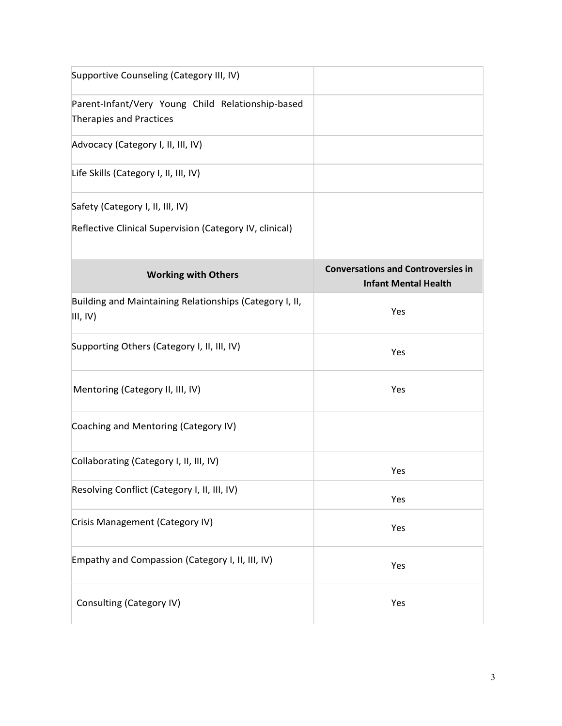| Supportive Counseling (Category III, IV)                                     |                                                                          |
|------------------------------------------------------------------------------|--------------------------------------------------------------------------|
| Parent-Infant/Very Young Child Relationship-based<br>Therapies and Practices |                                                                          |
| Advocacy (Category I, II, III, IV)                                           |                                                                          |
| Life Skills (Category I, II, III, IV)                                        |                                                                          |
| Safety (Category I, II, III, IV)                                             |                                                                          |
| Reflective Clinical Supervision (Category IV, clinical)                      |                                                                          |
| <b>Working with Others</b>                                                   | <b>Conversations and Controversies in</b><br><b>Infant Mental Health</b> |
| Building and Maintaining Relationships (Category I, II,<br>III, IV)          | Yes                                                                      |
| Supporting Others (Category I, II, III, IV)                                  | Yes                                                                      |
| Mentoring (Category II, III, IV)                                             | Yes                                                                      |
| Coaching and Mentoring (Category IV)                                         |                                                                          |
| Collaborating (Category I, II, III, IV)                                      | Yes                                                                      |
| Resolving Conflict (Category I, II, III, IV)                                 | Yes                                                                      |
| Crisis Management (Category IV)                                              | Yes                                                                      |
| Empathy and Compassion (Category I, II, III, IV)                             | Yes                                                                      |
| Consulting (Category IV)                                                     | Yes                                                                      |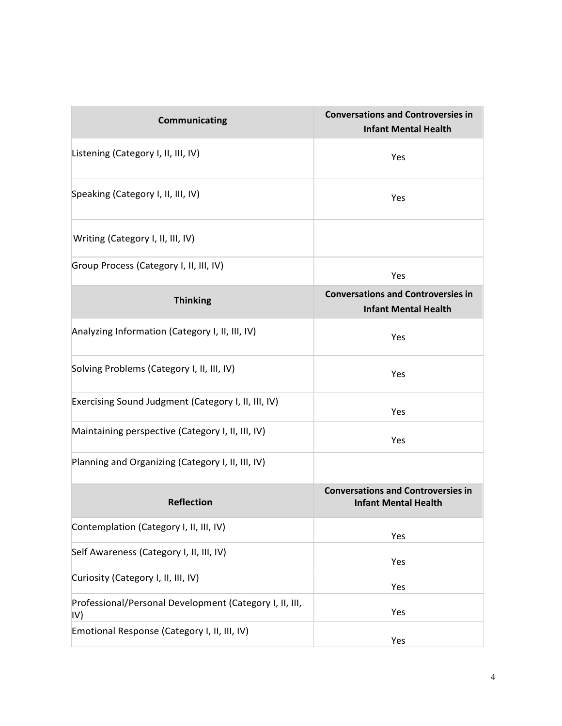| <b>Communicating</b>                                           | <b>Conversations and Controversies in</b><br><b>Infant Mental Health</b> |
|----------------------------------------------------------------|--------------------------------------------------------------------------|
| Listening (Category I, II, III, IV)                            | Yes                                                                      |
| Speaking (Category I, II, III, IV)                             | Yes                                                                      |
| Writing (Category I, II, III, IV)                              |                                                                          |
| Group Process (Category I, II, III, IV)                        | Yes                                                                      |
| <b>Thinking</b>                                                | <b>Conversations and Controversies in</b><br><b>Infant Mental Health</b> |
| Analyzing Information (Category I, II, III, IV)                | Yes                                                                      |
| Solving Problems (Category I, II, III, IV)                     | Yes                                                                      |
| Exercising Sound Judgment (Category I, II, III, IV)            | Yes                                                                      |
| Maintaining perspective (Category I, II, III, IV)              | Yes                                                                      |
| Planning and Organizing (Category I, II, III, IV)              |                                                                          |
| <b>Reflection</b>                                              | <b>Conversations and Controversies in</b><br><b>Infant Mental Health</b> |
| Contemplation (Category I, II, III, IV)                        | Yes                                                                      |
| Self Awareness (Category I, II, III, IV)                       | Yes                                                                      |
| Curiosity (Category I, II, III, IV)                            | Yes                                                                      |
| Professional/Personal Development (Category I, II, III,<br>IV) | Yes                                                                      |
| Emotional Response (Category I, II, III, IV)                   | Yes                                                                      |